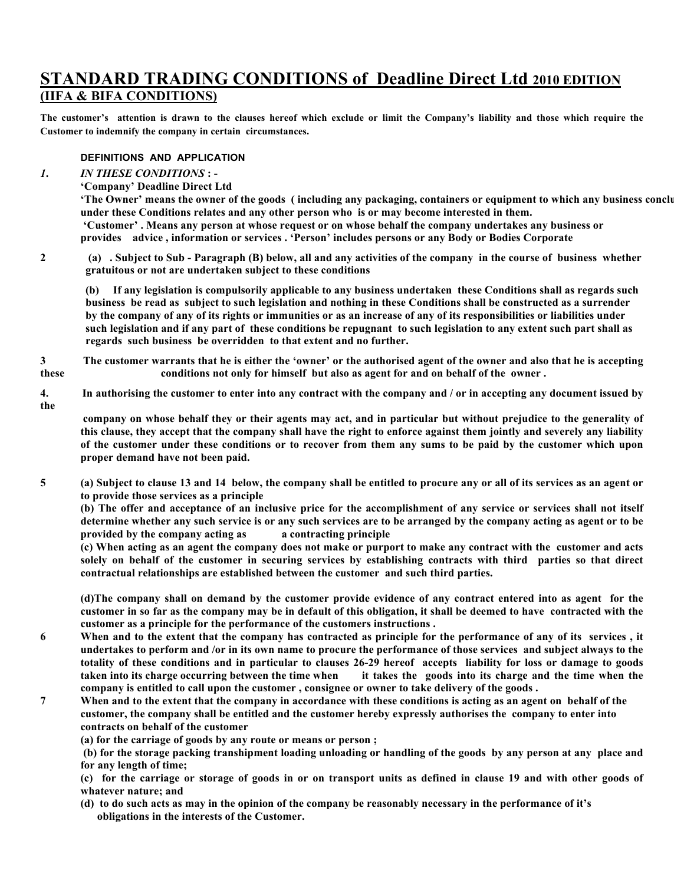# **STANDARD TRADING CONDITIONS of Deadline Direct Ltd 2010 EDITION (IIFA & BIFA CONDITIONS)**

**The customer's attention is drawn to the clauses hereof which exclude or limit the Company's liability and those which require the Customer to indemnify the company in certain circumstances.**

## **DEFINITIONS AND APPLICATION**

### *1***.** *IN THESE CONDITIONS* **: -**

**'Company' Deadline Direct Ltd** 

**'The Owner' means the owner of the goods ( including any packaging, containers or equipment to which any business concluded under these Conditions relates and any other person who is or may become interested in them. 'Customer' . Means any person at whose request or on whose behalf the company undertakes any business or provides advice , information or services . 'Person' includes persons or any Body or Bodies Corporate**

**2 (a) . Subject to Sub - Paragraph (B) below, all and any activities of the company in the course of business whether gratuitous or not are undertaken subject to these conditions**

**(b) If any legislation is compulsorily applicable to any business undertaken these Conditions shall as regards such business be read as subject to such legislation and nothing in these Conditions shall be constructed as a surrender by the company of any of its rights or immunities or as an increase of any of its responsibilities or liabilities under such legislation and if any part of these conditions be repugnant to such legislation to any extent such part shall as regards such business be overridden to that extent and no further.**

**3 The customer warrants that he is either the 'owner' or the authorised agent of the owner and also that he is accepting these conditions not only for himself but also as agent for and on behalf of the owner .**

**4. In authorising the customer to enter into any contract with the company and / or in accepting any document issued by the**

**company on whose behalf they or their agents may act, and in particular but without prejudice to the generality of this clause, they accept that the company shall have the right to enforce against them jointly and severely any liability of the customer under these conditions or to recover from them any sums to be paid by the customer which upon proper demand have not been paid.** 

**5 (a) Subject to clause 13 and 14 below, the company shall be entitled to procure any or all of its services as an agent or to provide those services as a principle** 

**(b) The offer and acceptance of an inclusive price for the accomplishment of any service or services shall not itself determine whether any such service is or any such services are to be arranged by the company acting as agent or to be provided by the company acting as a contracting principle**

**(c) When acting as an agent the company does not make or purport to make any contract with the customer and acts solely on behalf of the customer in securing services by establishing contracts with third parties so that direct contractual relationships are established between the customer and such third parties.**

**(d)The company shall on demand by the customer provide evidence of any contract entered into as agent for the customer in so far as the company may be in default of this obligation, it shall be deemed to have contracted with the customer as a principle for the performance of the customers instructions .**

- **6 When and to the extent that the company has contracted as principle for the performance of any of its services , it undertakes to perform and /or in its own name to procure the performance of those services and subject always to the totality of these conditions and in particular to clauses 26-29 hereof accepts liability for loss or damage to goods taken into its charge occurring between the time when it takes the goods into its charge and the time when the company is entitled to call upon the customer , consignee or owner to take delivery of the goods .**
- **7 When and to the extent that the company in accordance with these conditions is acting as an agent on behalf of the customer, the company shall be entitled and the customer hereby expressly authorises the company to enter into contracts on behalf of the customer**

 **(a) for the carriage of goods by any route or means or person ;**

 **(b) for the storage packing transhipment loading unloading or handling of the goods by any person at any place and for any length of time;** 

**(c) for the carriage or storage of goods in or on transport units as defined in clause 19 and with other goods of whatever nature; and**

**(d) to do such acts as may in the opinion of the company be reasonably necessary in the performance of it's obligations in the interests of the Customer.**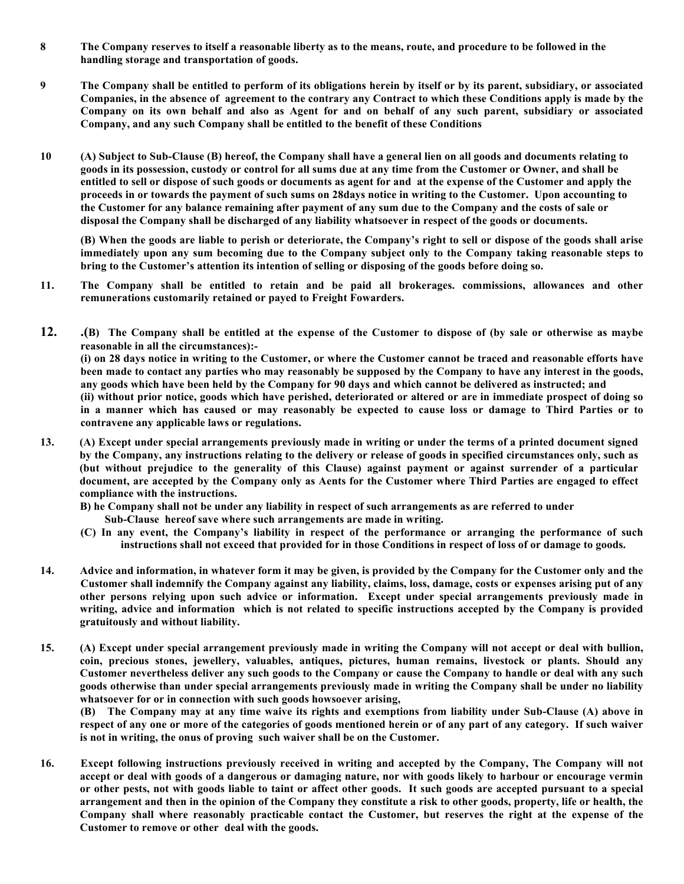- **8 The Company reserves to itself a reasonable liberty as to the means, route, and procedure to be followed in the handling storage and transportation of goods.**
- **9 The Company shall be entitled to perform of its obligations herein by itself or by its parent, subsidiary, or associated Companies, in the absence of agreement to the contrary any Contract to which these Conditions apply is made by the Company on its own behalf and also as Agent for and on behalf of any such parent, subsidiary or associated Company, and any such Company shall be entitled to the benefit of these Conditions**
- **10 (A) Subject to Sub-Clause (B) hereof, the Company shall have a general lien on all goods and documents relating to goods in its possession, custody or control for all sums due at any time from the Customer or Owner, and shall be entitled to sell or dispose of such goods or documents as agent for and at the expense of the Customer and apply the proceeds in or towards the payment of such sums on 28days notice in writing to the Customer. Upon accounting to the Customer for any balance remaining after payment of any sum due to the Company and the costs of sale or disposal the Company shall be discharged of any liability whatsoever in respect of the goods or documents.**

**(B) When the goods are liable to perish or deteriorate, the Company's right to sell or dispose of the goods shall arise immediately upon any sum becoming due to the Company subject only to the Company taking reasonable steps to bring to the Customer's attention its intention of selling or disposing of the goods before doing so.**

- **11. The Company shall be entitled to retain and be paid all brokerages. commissions, allowances and other remunerations customarily retained or payed to Freight Fowarders.**
- **12. .(B) The Company shall be entitled at the expense of the Customer to dispose of (by sale or otherwise as maybe reasonable in all the circumstances):- (i) on 28 days notice in writing to the Customer, or where the Customer cannot be traced and reasonable efforts have been made to contact any parties who may reasonably be supposed by the Company to have any interest in the goods, any goods which have been held by the Company for 90 days and which cannot be delivered as instructed; and (ii) without prior notice, goods which have perished, deteriorated or altered or are in immediate prospect of doing so in a manner which has caused or may reasonably be expected to cause loss or damage to Third Parties or to contravene any applicable laws or regulations.**
- **13. (A) Except under special arrangements previously made in writing or under the terms of a printed document signed by the Company, any instructions relating to the delivery or release of goods in specified circumstances only, such as (but without prejudice to the generality of this Clause) against payment or against surrender of a particular document, are accepted by the Company only as Aents for the Customer where Third Parties are engaged to effect compliance with the instructions.**

**B) he Company shall not be under any liability in respect of such arrangements as are referred to under Sub-Clause hereof save where such arrangements are made in writing.**

- **(C) In any event, the Company's liability in respect of the performance or arranging the performance of such instructions shall not exceed that provided for in those Conditions in respect of loss of or damage to goods.**
- **14. Advice and information, in whatever form it may be given, is provided by the Company for the Customer only and the Customer shall indemnify the Company against any liability, claims, loss, damage, costs or expenses arising put of any other persons relying upon such advice or information. Except under special arrangements previously made in writing, advice and information which is not related to specific instructions accepted by the Company is provided gratuitously and without liability.**
- **15. (A) Except under special arrangement previously made in writing the Company will not accept or deal with bullion, coin, precious stones, jewellery, valuables, antiques, pictures, human remains, livestock or plants. Should any Customer nevertheless deliver any such goods to the Company or cause the Company to handle or deal with any such goods otherwise than under special arrangements previously made in writing the Company shall be under no liability whatsoever for or in connection with such goods howsoever arising,**

**(B) The Company may at any time waive its rights and exemptions from liability under Sub-Clause (A) above in respect of any one or more of the categories of goods mentioned herein or of any part of any category. If such waiver is not in writing, the onus of proving such waiver shall be on the Customer.**

**16. Except following instructions previously received in writing and accepted by the Company, The Company will not accept or deal with goods of a dangerous or damaging nature, nor with goods likely to harbour or encourage vermin or other pests, not with goods liable to taint or affect other goods. It such goods are accepted pursuant to a special arrangement and then in the opinion of the Company they constitute a risk to other goods, property, life or health, the Company shall where reasonably practicable contact the Customer, but reserves the right at the expense of the Customer to remove or other deal with the goods.**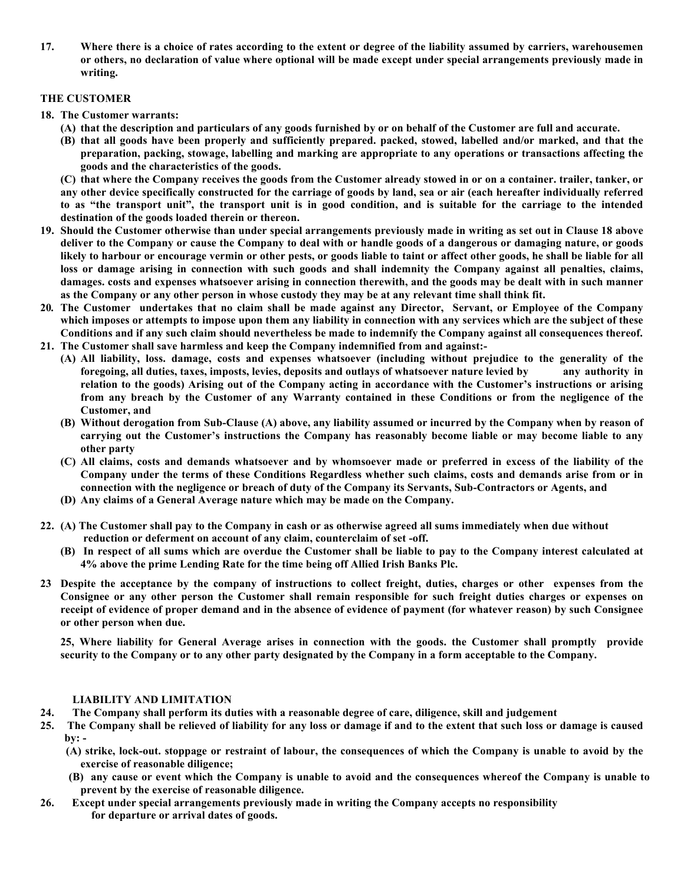**17. Where there is a choice of rates according to the extent or degree of the liability assumed by carriers, warehousemen or others, no declaration of value where optional will be made except under special arrangements previously made in writing.**

## **THE CUSTOMER**

**18. The Customer warrants:**

- **(A) that the description and particulars of any goods furnished by or on behalf of the Customer are full and accurate.**
- **(B) that all goods have been properly and sufficiently prepared. packed, stowed, labelled and/or marked, and that the preparation, packing, stowage, labelling and marking are appropriate to any operations or transactions affecting the goods and the characteristics of the goods.**

**(C) that where the Company receives the goods from the Customer already stowed in or on a container. trailer, tanker, or any other device specifically constructed for the carriage of goods by land, sea or air (each hereafter individually referred to as "the transport unit", the transport unit is in good condition, and is suitable for the carriage to the intended destination of the goods loaded therein or thereon.**

- **19. Should the Customer otherwise than under special arrangements previously made in writing as set out in Clause 18 above deliver to the Company or cause the Company to deal with or handle goods of a dangerous or damaging nature, or goods likely to harbour or encourage vermin or other pests, or goods liable to taint or affect other goods, he shall be liable for all loss or damage arising in connection with such goods and shall indemnity the Company against all penalties, claims, damages. costs and expenses whatsoever arising in connection therewith, and the goods may be dealt with in such manner as the Company or any other person in whose custody they may be at any relevant time shall think fit.**
- **20***.* **The Customer undertakes that no claim shall be made against any Director, Servant, or Employee of the Company which imposes or attempts to impose upon them any liability in connection with any services which are the subject of these Conditions and if any such claim should nevertheless be made to indemnify the Company against all consequences thereof.**
- **21. The Customer shall save harmless and keep the Company indemnified from and against:-**
	- **(A) All liability, loss. damage, costs and expenses whatsoever (including without prejudice to the generality of the foregoing, all duties, taxes, imposts, levies, deposits and outlays of whatsoever nature levied by any authority in relation to the goods) Arising out of the Company acting in accordance with the Customer's instructions or arising from any breach by the Customer of any Warranty contained in these Conditions or from the negligence of the Customer, and**
	- **(B) Without derogation from Sub-Clause (A) above, any liability assumed or incurred by the Company when by reason of carrying out the Customer's instructions the Company has reasonably become liable or may become liable to any other party**
	- **(C) All claims, costs and demands whatsoever and by whomsoever made or preferred in excess of the liability of the Company under the terms of these Conditions Regardless whether such claims, costs and demands arise from or in connection with the negligence or breach of duty of the Company its Servants, Sub-Contractors or Agents, and**
	- **(D) Any claims of a General Average nature which may be made on the Company.**
- **22. (A) The Customer shall pay to the Company in cash or as otherwise agreed all sums immediately when due without reduction or deferment on account of any claim, counterclaim of set -off.**
	- **(B) In respect of all sums which are overdue the Customer shall be liable to pay to the Company interest calculated at 4% above the prime Lending Rate for the time being off Allied Irish Banks Plc.**
- **23 Despite the acceptance by the company of instructions to collect freight, duties, charges or other expenses from the Consignee or any other person the Customer shall remain responsible for such freight duties charges or expenses on receipt of evidence of proper demand and in the absence of evidence of payment (for whatever reason) by such Consignee or other person when due.**

**25, Where liability for General Average arises in connection with the goods. the Customer shall promptly provide security to the Company or to any other party designated by the Company in a form acceptable to the Company.**

## **LIABILITY AND LIMITATION**

- **24. The Company shall perform its duties with a reasonable degree of care, diligence, skill and judgement**
- **25. The Company shall be relieved of liability for any loss or damage if and to the extent that such loss or damage is caused by: -**
	- **(A) strike, lock-out. stoppage or restraint of labour, the consequences of which the Company is unable to avoid by the exercise of reasonable diligence;**
	- **(B) any cause or event which the Company is unable to avoid and the consequences whereof the Company is unable to prevent by the exercise of reasonable diligence.**
- **26. Except under special arrangements previously made in writing the Company accepts no responsibility for departure or arrival dates of goods.**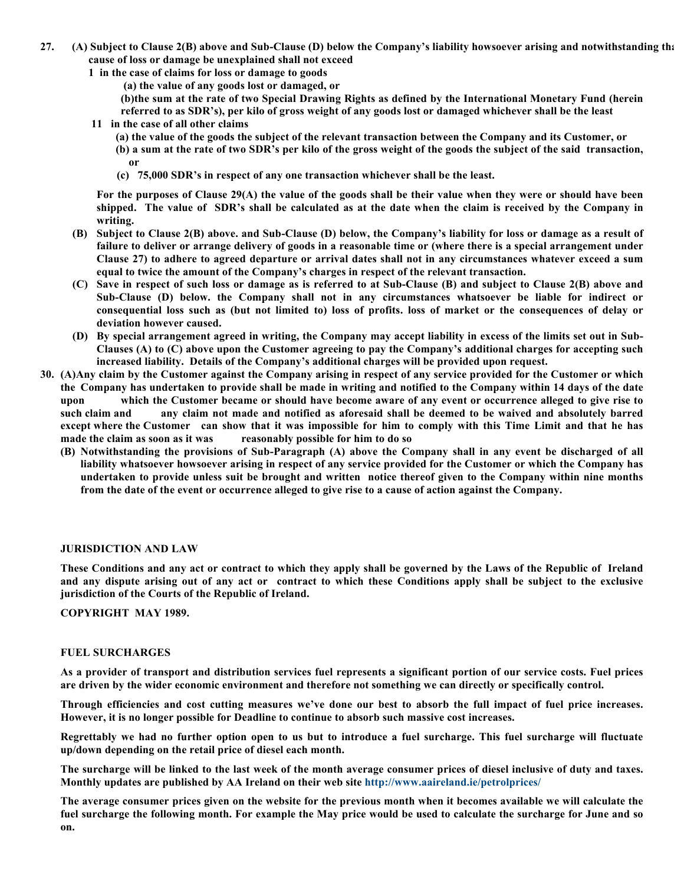- **27. (A) Subject to Clause 2(B) above and Sub-Clause (D) below the Company's liability howsoever arising and notwithstanding that the cause of loss or damage be unexplained shall not exceed**
	- **1 in the case of claims for loss or damage to goods**
		- **(a) the value of any goods lost or damaged, or**

**(b)the sum at the rate of two Special Drawing Rights as defined by the International Monetary Fund (herein referred to as SDR's), per kilo of gross weight of any goods lost or damaged whichever shall be the least** 

- **11 in the case of all other claims**
	- **(a) the value of the goods the subject of the relevant transaction between the Company and its Customer, or (b) a sum at the rate of two SDR's per kilo of the gross weight of the goods the subject of the said transaction, or**
	- **(c) 75,000 SDR's in respect of any one transaction whichever shall be the least.**

**For the purposes of Clause 29(A) the value of the goods shall be their value when they were or should have been shipped. The value of SDR's shall be calculated as at the date when the claim is received by the Company in writing.**

- **(B) Subject to Clause 2(B) above. and Sub-Clause (D) below, the Company's liability for loss or damage as a result of failure to deliver or arrange delivery of goods in a reasonable time or (where there is a special arrangement under Clause 27) to adhere to agreed departure or arrival dates shall not in any circumstances whatever exceed a sum equal to twice the amount of the Company's charges in respect of the relevant transaction.**
- **(C) Save in respect of such loss or damage as is referred to at Sub-Clause (B) and subject to Clause 2(B) above and Sub-Clause (D) below. the Company shall not in any circumstances whatsoever be liable for indirect or consequential loss such as (but not limited to) loss of profits. loss of market or the consequences of delay or deviation however caused.**
- **(D) By special arrangement agreed in writing, the Company may accept liability in excess of the limits set out in Sub-Clauses (A) to (C) above upon the Customer agreeing to pay the Company's additional charges for accepting such increased liability. Details of the Company's additional charges will be provided upon request.**
- **30. (A)Any claim by the Customer against the Company arising in respect of any service provided for the Customer or which the Company has undertaken to provide shall be made in writing and notified to the Company within 14 days of the date upon which the Customer became or should have become aware of any event or occurrence alleged to give rise to such claim and any claim not made and notified as aforesaid shall be deemed to be waived and absolutely barred except where the Customer can show that it was impossible for him to comply with this Time Limit and that he has made the claim as soon as it was reasonably possible for him to do so**
	- **(B) Notwithstanding the provisions of Sub-Paragraph (A) above the Company shall in any event be discharged of all liability whatsoever howsoever arising in respect of any service provided for the Customer or which the Company has undertaken to provide unless suit be brought and written notice thereof given to the Company within nine months from the date of the event or occurrence alleged to give rise to a cause of action against the Company.**

### **JURISDICTION AND LAW**

**These Conditions and any act or contract to which they apply shall be governed by the Laws of the Republic of Ireland and any dispute arising out of any act or contract to which these Conditions apply shall be subject to the exclusive jurisdiction of the Courts of the Republic of Ireland.**

**COPYRIGHT MAY 1989.**

### **FUEL SURCHARGES**

**As a provider of transport and distribution services fuel represents a significant portion of our service costs. Fuel prices are driven by the wider economic environment and therefore not something we can directly or specifically control.**

**Through efficiencies and cost cutting measures we've done our best to absorb the full impact of fuel price increases. However, it is no longer possible for Deadline to continue to absorb such massive cost increases.**

**Regrettably we had no further option open to us but to introduce a fuel surcharge. This fuel surcharge will fluctuate up/down depending on the retail price of diesel each month.**

**The surcharge will be linked to the last week of the month average consumer prices of diesel inclusive of duty and taxes. Monthly updates are published by AA Ireland on their web site http://www.aaireland.ie/petrolprices/**

**The average consumer prices given on the website for the previous month when it becomes available we will calculate the fuel surcharge the following month. For example the May price would be used to calculate the surcharge for June and so on.**